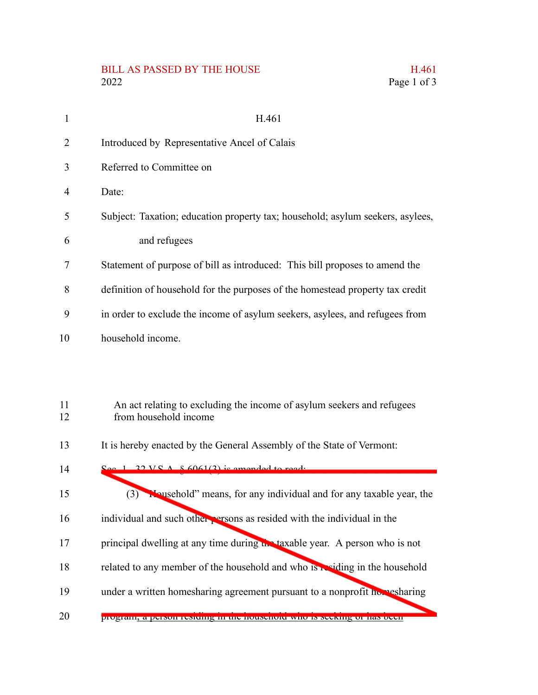## BILL AS PASSED BY THE HOUSE H.461<br>2022 Page 1 of 3

| 1              | H.461                                                                                           |
|----------------|-------------------------------------------------------------------------------------------------|
| $\overline{2}$ | Introduced by Representative Ancel of Calais                                                    |
| 3              | Referred to Committee on                                                                        |
| $\overline{4}$ | Date:                                                                                           |
| 5              | Subject: Taxation; education property tax; household; asylum seekers, asylees,                  |
| 6              | and refugees                                                                                    |
| 7              | Statement of purpose of bill as introduced: This bill proposes to amend the                     |
| 8              | definition of household for the purposes of the homestead property tax credit                   |
| 9              | in order to exclude the income of asylum seekers, asylees, and refugees from                    |
| 10             | household income.                                                                               |
|                |                                                                                                 |
|                |                                                                                                 |
| 11<br>12       | An act relating to excluding the income of asylum seekers and refugees<br>from household income |
| 13             | It is hereby enacted by the General Assembly of the State of Vermont:                           |
| 14             | $\text{S}_{\text{eq}}$ 1 22 V S A $\&$ 6061(2) is amended to read.                              |
| 15             | (3) Nousehold" means, for any individual and for any taxable year, the                          |
| 16             | individual and such other persons as resided with the individual in the                         |
| 17             | principal dwelling at any time during the taxable year. A person who is not                     |
| 18             | related to any member of the household and who is residing in the household                     |
| 19             | under a written homesharing agreement pursuant to a nonprofit homesharing                       |
| 20             | ргодианн, а регуон геменид нг иге посконото who ту мескинд от нам осещ                          |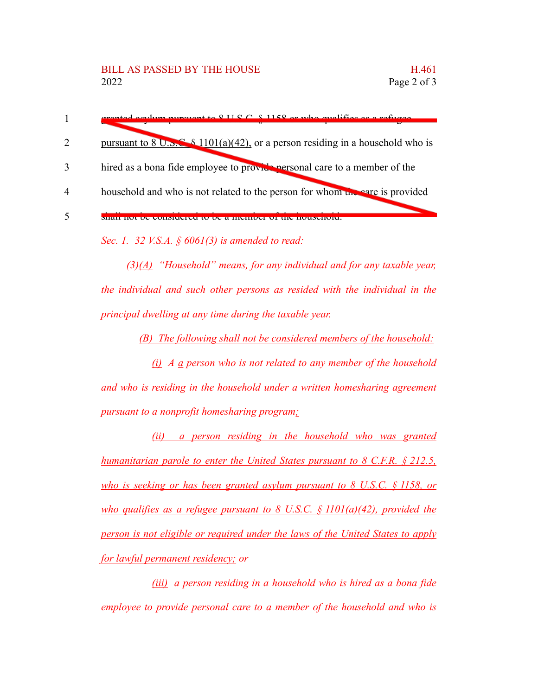|                             | granted early nursuant to 8 H S C 8 1158 or who qualifies as a ratuge                                     |
|-----------------------------|-----------------------------------------------------------------------------------------------------------|
| $\mathcal{D}_{\mathcal{L}}$ | pursuant to $8 \text{ U.s.}$ $\leq 8 \frac{1101(a)(42)}{20}$ , or a person residing in a household who is |
| 3                           | hired as a bona fide employee to provide personal care to a member of the                                 |
| $\overline{A}$              | household and who is not related to the person for whom we care is provided                               |
|                             |                                                                                                           |

*Sec. 1. 32 V.S.A. § 6061(3) is amended to read:*

*(3)(A) "Household" means, for any individual and for any taxable year, the individual and such other persons as resided with the individual in the principal dwelling at any time during the taxable year.*

*(B) The following shall not be considered members of the household:*

*(i) A a person who is not related to any member of the household and who is residing in the household under a written homesharing agreement pursuant to a nonprofit homesharing program;*

*(ii) a person residing in the household who was granted humanitarian parole to enter the United States pursuant to 8 C.F.R. § 212.5, who is seeking or has been granted asylum pursuant to 8 U.S.C. § 1158, or who qualifies as a refugee pursuant to 8 U.S.C. § 1101(a)(42), provided the person is not eligible or required under the laws of the United States to apply for lawful permanent residency; or*

*(iii) a person residing in a household who is hired as a bona fide employee to provide personal care to a member of the household and who is*